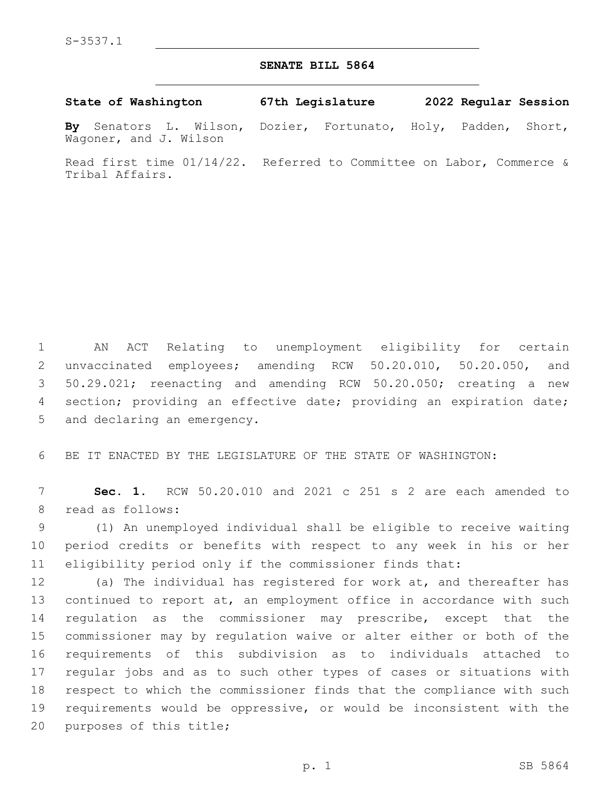## **SENATE BILL 5864**

| State of Washington |  |  | 67th Legislature |  | 2022 Regular Session                                           |  |  |  |
|---------------------|--|--|------------------|--|----------------------------------------------------------------|--|--|--|
|                     |  |  |                  |  | By Senators L. Wilson, Dozier, Fortunato, Holy, Padden, Short, |  |  |  |

Wagoner, and J. Wilson

Read first time 01/14/22. Referred to Committee on Labor, Commerce & Tribal Affairs.

 AN ACT Relating to unemployment eligibility for certain unvaccinated employees; amending RCW 50.20.010, 50.20.050, and 50.29.021; reenacting and amending RCW 50.20.050; creating a new section; providing an effective date; providing an expiration date; 5 and declaring an emergency.

BE IT ENACTED BY THE LEGISLATURE OF THE STATE OF WASHINGTON:

 **Sec. 1.** RCW 50.20.010 and 2021 c 251 s 2 are each amended to 8 read as follows:

 (1) An unemployed individual shall be eligible to receive waiting period credits or benefits with respect to any week in his or her eligibility period only if the commissioner finds that:

 (a) The individual has registered for work at, and thereafter has continued to report at, an employment office in accordance with such regulation as the commissioner may prescribe, except that the commissioner may by regulation waive or alter either or both of the requirements of this subdivision as to individuals attached to regular jobs and as to such other types of cases or situations with respect to which the commissioner finds that the compliance with such requirements would be oppressive, or would be inconsistent with the 20 purposes of this title;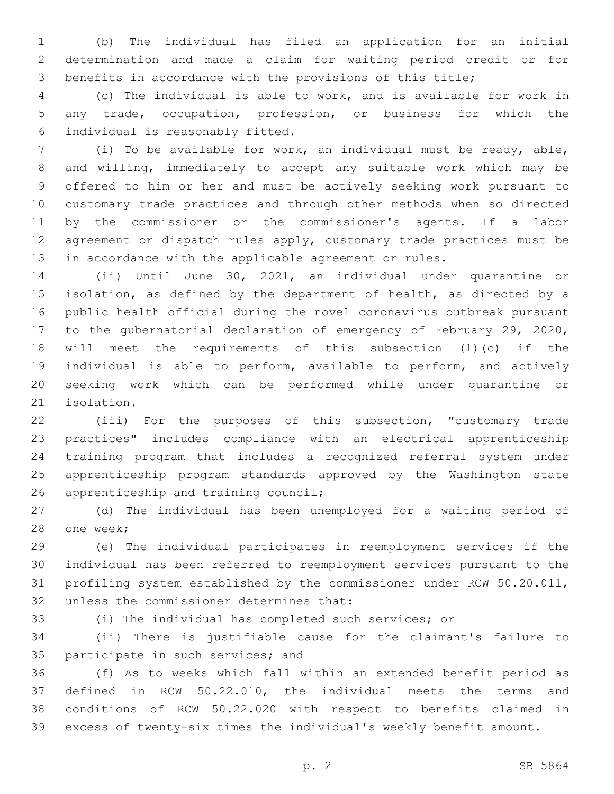(b) The individual has filed an application for an initial determination and made a claim for waiting period credit or for benefits in accordance with the provisions of this title;

 (c) The individual is able to work, and is available for work in any trade, occupation, profession, or business for which the individual is reasonably fitted.6

 (i) To be available for work, an individual must be ready, able, and willing, immediately to accept any suitable work which may be offered to him or her and must be actively seeking work pursuant to customary trade practices and through other methods when so directed by the commissioner or the commissioner's agents. If a labor agreement or dispatch rules apply, customary trade practices must be in accordance with the applicable agreement or rules.

 (ii) Until June 30, 2021, an individual under quarantine or isolation, as defined by the department of health, as directed by a public health official during the novel coronavirus outbreak pursuant to the gubernatorial declaration of emergency of February 29, 2020, will meet the requirements of this subsection (1)(c) if the individual is able to perform, available to perform, and actively seeking work which can be performed while under quarantine or 21 isolation.

 (iii) For the purposes of this subsection, "customary trade practices" includes compliance with an electrical apprenticeship training program that includes a recognized referral system under apprenticeship program standards approved by the Washington state 26 apprenticeship and training council;

 (d) The individual has been unemployed for a waiting period of 28 one week;

 (e) The individual participates in reemployment services if the individual has been referred to reemployment services pursuant to the profiling system established by the commissioner under RCW 50.20.011, 32 unless the commissioner determines that:

(i) The individual has completed such services; or

 (ii) There is justifiable cause for the claimant's failure to 35 participate in such services; and

 (f) As to weeks which fall within an extended benefit period as defined in RCW 50.22.010, the individual meets the terms and conditions of RCW 50.22.020 with respect to benefits claimed in excess of twenty-six times the individual's weekly benefit amount.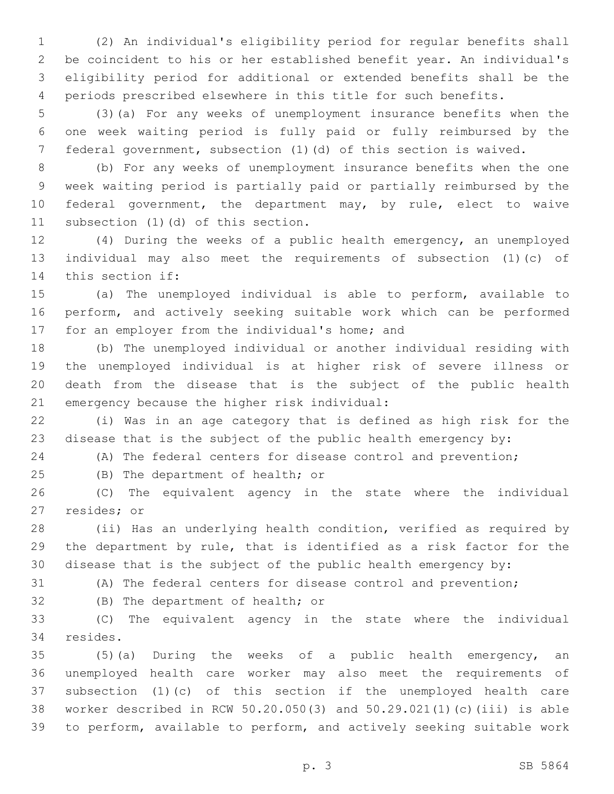(2) An individual's eligibility period for regular benefits shall be coincident to his or her established benefit year. An individual's eligibility period for additional or extended benefits shall be the periods prescribed elsewhere in this title for such benefits.

 (3)(a) For any weeks of unemployment insurance benefits when the one week waiting period is fully paid or fully reimbursed by the federal government, subsection (1)(d) of this section is waived.

 (b) For any weeks of unemployment insurance benefits when the one week waiting period is partially paid or partially reimbursed by the federal government, the department may, by rule, elect to waive 11 subsection (1)(d) of this section.

 (4) During the weeks of a public health emergency, an unemployed individual may also meet the requirements of subsection (1)(c) of 14 this section if:

 (a) The unemployed individual is able to perform, available to perform, and actively seeking suitable work which can be performed 17 for an employer from the individual's home; and

 (b) The unemployed individual or another individual residing with the unemployed individual is at higher risk of severe illness or death from the disease that is the subject of the public health 21 emergency because the higher risk individual:

 (i) Was in an age category that is defined as high risk for the disease that is the subject of the public health emergency by:

(A) The federal centers for disease control and prevention;

25 (B) The department of health; or

 (C) The equivalent agency in the state where the individual 27 resides; or

 (ii) Has an underlying health condition, verified as required by the department by rule, that is identified as a risk factor for the disease that is the subject of the public health emergency by:

(A) The federal centers for disease control and prevention;

32 (B) The department of health; or

 (C) The equivalent agency in the state where the individual 34 resides.

 (5)(a) During the weeks of a public health emergency, an unemployed health care worker may also meet the requirements of subsection (1)(c) of this section if the unemployed health care worker described in RCW 50.20.050(3) and 50.29.021(1)(c)(iii) is able to perform, available to perform, and actively seeking suitable work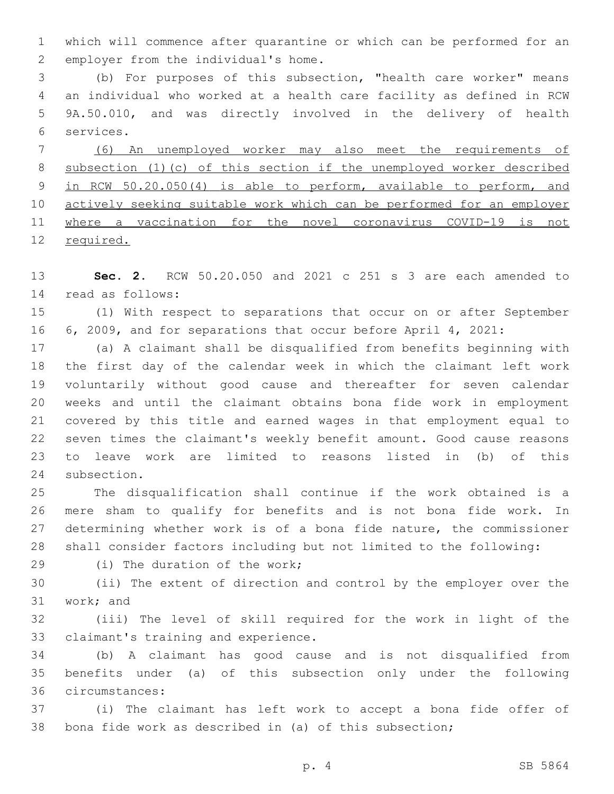which will commence after quarantine or which can be performed for an 2 employer from the individual's home.

 (b) For purposes of this subsection, "health care worker" means an individual who worked at a health care facility as defined in RCW 9A.50.010, and was directly involved in the delivery of health services.6

 (6) An unemployed worker may also meet the requirements of subsection (1)(c) of this section if the unemployed worker described in RCW 50.20.050(4) is able to perform, available to perform, and actively seeking suitable work which can be performed for an employer where a vaccination for the novel coronavirus COVID-19 is not required.

 **Sec. 2.** RCW 50.20.050 and 2021 c 251 s 3 are each amended to read as follows:14

 (1) With respect to separations that occur on or after September 6, 2009, and for separations that occur before April 4, 2021:

 (a) A claimant shall be disqualified from benefits beginning with the first day of the calendar week in which the claimant left work voluntarily without good cause and thereafter for seven calendar weeks and until the claimant obtains bona fide work in employment covered by this title and earned wages in that employment equal to seven times the claimant's weekly benefit amount. Good cause reasons to leave work are limited to reasons listed in (b) of this 24 subsection.

 The disqualification shall continue if the work obtained is a mere sham to qualify for benefits and is not bona fide work. In determining whether work is of a bona fide nature, the commissioner shall consider factors including but not limited to the following:

29 (i) The duration of the work;

 (ii) The extent of direction and control by the employer over the 31 work; and

 (iii) The level of skill required for the work in light of the 33 claimant's training and experience.

 (b) A claimant has good cause and is not disqualified from benefits under (a) of this subsection only under the following circumstances:36

 (i) The claimant has left work to accept a bona fide offer of bona fide work as described in (a) of this subsection;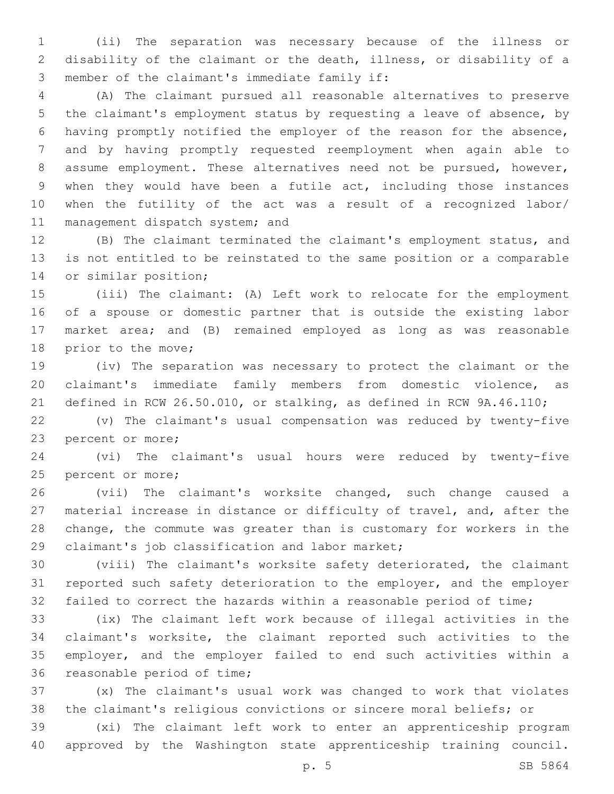(ii) The separation was necessary because of the illness or disability of the claimant or the death, illness, or disability of a 3 member of the claimant's immediate family if:

 (A) The claimant pursued all reasonable alternatives to preserve the claimant's employment status by requesting a leave of absence, by having promptly notified the employer of the reason for the absence, and by having promptly requested reemployment when again able to assume employment. These alternatives need not be pursued, however, when they would have been a futile act, including those instances when the futility of the act was a result of a recognized labor/ 11 management dispatch system; and

 (B) The claimant terminated the claimant's employment status, and is not entitled to be reinstated to the same position or a comparable 14 or similar position;

 (iii) The claimant: (A) Left work to relocate for the employment of a spouse or domestic partner that is outside the existing labor market area; and (B) remained employed as long as was reasonable 18 prior to the move;

 (iv) The separation was necessary to protect the claimant or the claimant's immediate family members from domestic violence, as defined in RCW 26.50.010, or stalking, as defined in RCW 9A.46.110;

 (v) The claimant's usual compensation was reduced by twenty-five 23 percent or more;

 (vi) The claimant's usual hours were reduced by twenty-five 25 percent or more;

 (vii) The claimant's worksite changed, such change caused a material increase in distance or difficulty of travel, and, after the change, the commute was greater than is customary for workers in the 29 claimant's job classification and labor market;

 (viii) The claimant's worksite safety deteriorated, the claimant reported such safety deterioration to the employer, and the employer failed to correct the hazards within a reasonable period of time;

 (ix) The claimant left work because of illegal activities in the claimant's worksite, the claimant reported such activities to the employer, and the employer failed to end such activities within a 36 reasonable period of time;

 (x) The claimant's usual work was changed to work that violates the claimant's religious convictions or sincere moral beliefs; or

 (xi) The claimant left work to enter an apprenticeship program approved by the Washington state apprenticeship training council.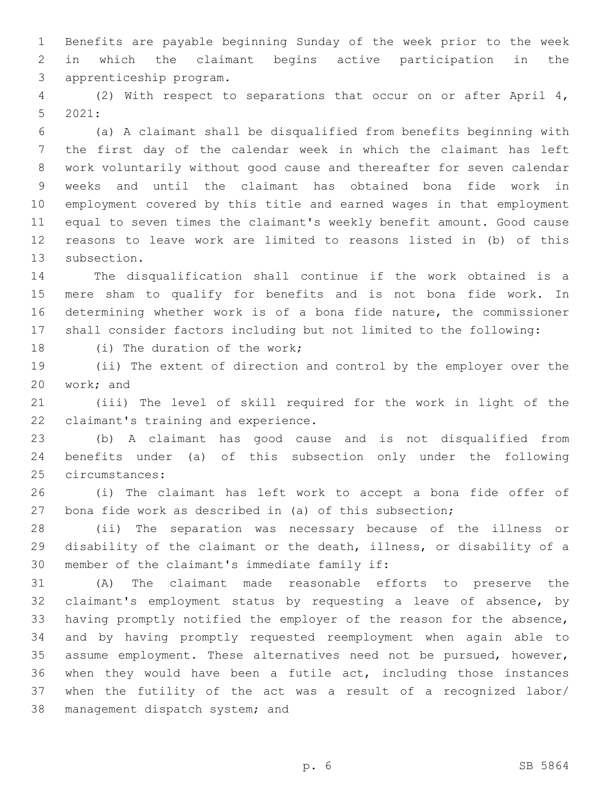Benefits are payable beginning Sunday of the week prior to the week in which the claimant begins active participation in the 3 apprenticeship program.

 (2) With respect to separations that occur on or after April 4,  $2021$ :

 (a) A claimant shall be disqualified from benefits beginning with the first day of the calendar week in which the claimant has left work voluntarily without good cause and thereafter for seven calendar weeks and until the claimant has obtained bona fide work in employment covered by this title and earned wages in that employment equal to seven times the claimant's weekly benefit amount. Good cause reasons to leave work are limited to reasons listed in (b) of this 13 subsection.

 The disqualification shall continue if the work obtained is a mere sham to qualify for benefits and is not bona fide work. In determining whether work is of a bona fide nature, the commissioner shall consider factors including but not limited to the following:

18 (i) The duration of the work;

 (ii) The extent of direction and control by the employer over the 20 work; and

 (iii) The level of skill required for the work in light of the 22 claimant's training and experience.

 (b) A claimant has good cause and is not disqualified from benefits under (a) of this subsection only under the following 25 circumstances:

 (i) The claimant has left work to accept a bona fide offer of bona fide work as described in (a) of this subsection;

 (ii) The separation was necessary because of the illness or disability of the claimant or the death, illness, or disability of a 30 member of the claimant's immediate family if:

 (A) The claimant made reasonable efforts to preserve the claimant's employment status by requesting a leave of absence, by having promptly notified the employer of the reason for the absence, and by having promptly requested reemployment when again able to assume employment. These alternatives need not be pursued, however, when they would have been a futile act, including those instances when the futility of the act was a result of a recognized labor/ 38 management dispatch system; and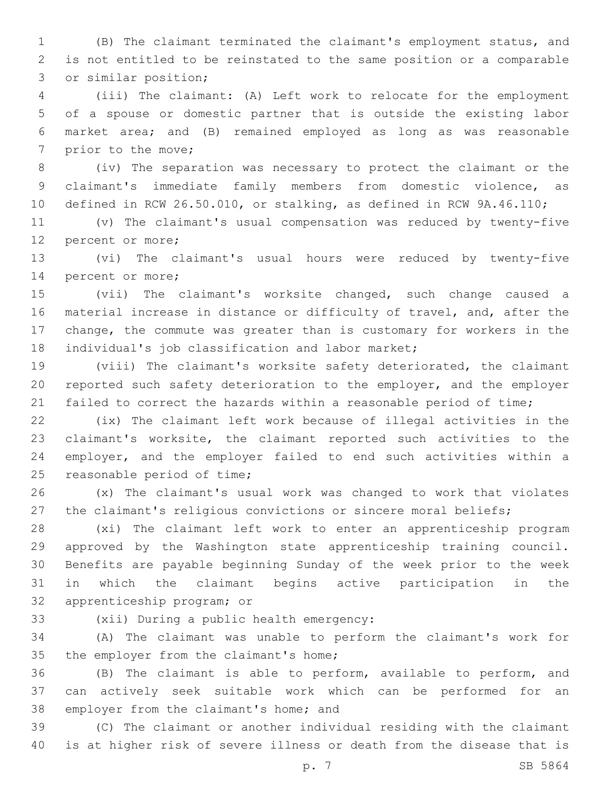(B) The claimant terminated the claimant's employment status, and is not entitled to be reinstated to the same position or a comparable 3 or similar position;

 (iii) The claimant: (A) Left work to relocate for the employment of a spouse or domestic partner that is outside the existing labor market area; and (B) remained employed as long as was reasonable 7 prior to the move;

 (iv) The separation was necessary to protect the claimant or the claimant's immediate family members from domestic violence, as defined in RCW 26.50.010, or stalking, as defined in RCW 9A.46.110;

 (v) The claimant's usual compensation was reduced by twenty-five 12 percent or more;

 (vi) The claimant's usual hours were reduced by twenty-five 14 percent or more;

 (vii) The claimant's worksite changed, such change caused a material increase in distance or difficulty of travel, and, after the change, the commute was greater than is customary for workers in the 18 individual's job classification and labor market;

 (viii) The claimant's worksite safety deteriorated, the claimant reported such safety deterioration to the employer, and the employer 21 failed to correct the hazards within a reasonable period of time;

 (ix) The claimant left work because of illegal activities in the claimant's worksite, the claimant reported such activities to the employer, and the employer failed to end such activities within a 25 reasonable period of time;

 (x) The claimant's usual work was changed to work that violates the claimant's religious convictions or sincere moral beliefs;

 (xi) The claimant left work to enter an apprenticeship program approved by the Washington state apprenticeship training council. Benefits are payable beginning Sunday of the week prior to the week in which the claimant begins active participation in the 32 apprenticeship program; or

33 (xii) During a public health emergency:

 (A) The claimant was unable to perform the claimant's work for 35 the employer from the claimant's home;

 (B) The claimant is able to perform, available to perform, and can actively seek suitable work which can be performed for an 38 employer from the claimant's home; and

 (C) The claimant or another individual residing with the claimant is at higher risk of severe illness or death from the disease that is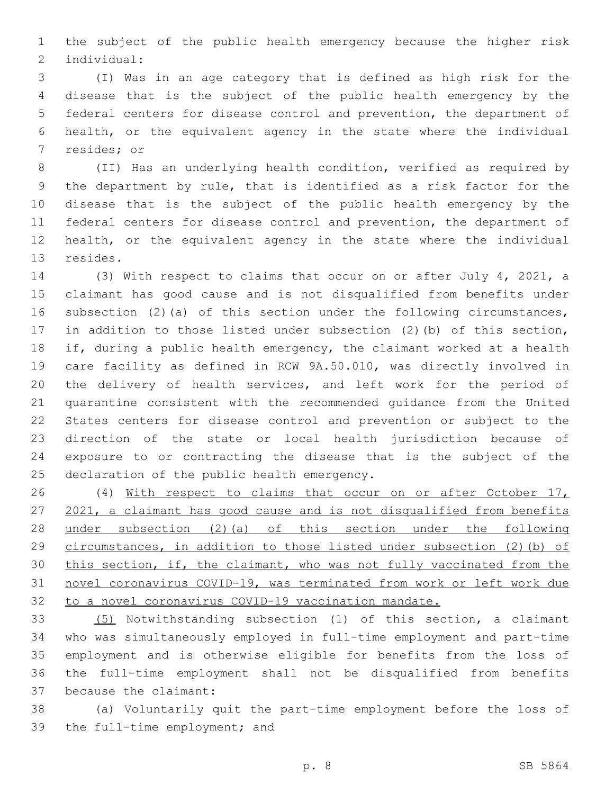the subject of the public health emergency because the higher risk individual:2

 (I) Was in an age category that is defined as high risk for the disease that is the subject of the public health emergency by the federal centers for disease control and prevention, the department of health, or the equivalent agency in the state where the individual 7 resides; or

 (II) Has an underlying health condition, verified as required by the department by rule, that is identified as a risk factor for the disease that is the subject of the public health emergency by the federal centers for disease control and prevention, the department of health, or the equivalent agency in the state where the individual 13 resides.

 (3) With respect to claims that occur on or after July 4, 2021, a claimant has good cause and is not disqualified from benefits under subsection (2)(a) of this section under the following circumstances, in addition to those listed under subsection (2)(b) of this section, if, during a public health emergency, the claimant worked at a health care facility as defined in RCW 9A.50.010, was directly involved in the delivery of health services, and left work for the period of quarantine consistent with the recommended guidance from the United States centers for disease control and prevention or subject to the direction of the state or local health jurisdiction because of exposure to or contracting the disease that is the subject of the 25 declaration of the public health emergency.

 (4) With respect to claims that occur on or after October 17, 2021, a claimant has good cause and is not disqualified from benefits under subsection (2)(a) of this section under the following circumstances, in addition to those listed under subsection (2)(b) of 30 this section, if, the claimant, who was not fully vaccinated from the novel coronavirus COVID-19, was terminated from work or left work due to a novel coronavirus COVID-19 vaccination mandate.

 (5) Notwithstanding subsection (1) of this section, a claimant who was simultaneously employed in full-time employment and part-time employment and is otherwise eligible for benefits from the loss of the full-time employment shall not be disqualified from benefits 37 because the claimant:

 (a) Voluntarily quit the part-time employment before the loss of 39 the full-time employment; and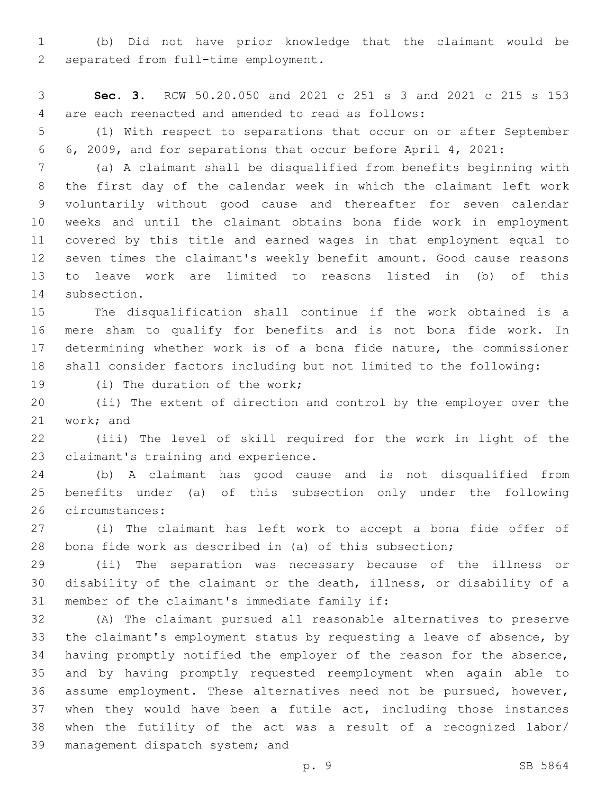(b) Did not have prior knowledge that the claimant would be 2 separated from full-time employment.

 **Sec. 3.** RCW 50.20.050 and 2021 c 251 s 3 and 2021 c 215 s 153 are each reenacted and amended to read as follows:4

 (1) With respect to separations that occur on or after September 6, 2009, and for separations that occur before April 4, 2021:

 (a) A claimant shall be disqualified from benefits beginning with the first day of the calendar week in which the claimant left work voluntarily without good cause and thereafter for seven calendar weeks and until the claimant obtains bona fide work in employment covered by this title and earned wages in that employment equal to seven times the claimant's weekly benefit amount. Good cause reasons to leave work are limited to reasons listed in (b) of this 14 subsection.

 The disqualification shall continue if the work obtained is a mere sham to qualify for benefits and is not bona fide work. In determining whether work is of a bona fide nature, the commissioner shall consider factors including but not limited to the following:

19 (i) The duration of the work;

 (ii) The extent of direction and control by the employer over the 21 work; and

 (iii) The level of skill required for the work in light of the 23 claimant's training and experience.

 (b) A claimant has good cause and is not disqualified from benefits under (a) of this subsection only under the following 26 circumstances:

 (i) The claimant has left work to accept a bona fide offer of bona fide work as described in (a) of this subsection;

 (ii) The separation was necessary because of the illness or disability of the claimant or the death, illness, or disability of a 31 member of the claimant's immediate family if:

 (A) The claimant pursued all reasonable alternatives to preserve the claimant's employment status by requesting a leave of absence, by having promptly notified the employer of the reason for the absence, and by having promptly requested reemployment when again able to assume employment. These alternatives need not be pursued, however, 37 when they would have been a futile act, including those instances when the futility of the act was a result of a recognized labor/ 39 management dispatch system; and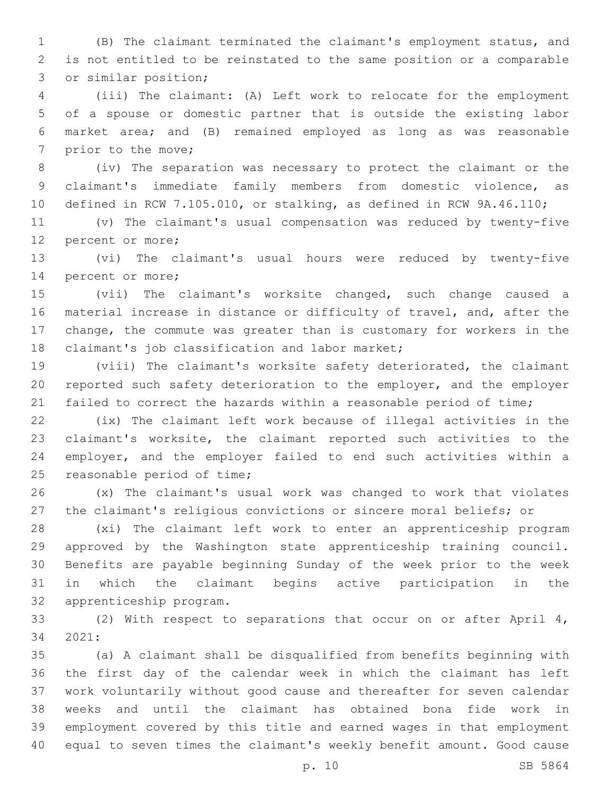(B) The claimant terminated the claimant's employment status, and is not entitled to be reinstated to the same position or a comparable 3 or similar position;

 (iii) The claimant: (A) Left work to relocate for the employment of a spouse or domestic partner that is outside the existing labor market area; and (B) remained employed as long as was reasonable 7 prior to the move;

 (iv) The separation was necessary to protect the claimant or the claimant's immediate family members from domestic violence, as defined in RCW 7.105.010, or stalking, as defined in RCW 9A.46.110;

 (v) The claimant's usual compensation was reduced by twenty-five 12 percent or more;

 (vi) The claimant's usual hours were reduced by twenty-five 14 percent or more;

 (vii) The claimant's worksite changed, such change caused a material increase in distance or difficulty of travel, and, after the change, the commute was greater than is customary for workers in the 18 claimant's job classification and labor market;

 (viii) The claimant's worksite safety deteriorated, the claimant reported such safety deterioration to the employer, and the employer 21 failed to correct the hazards within a reasonable period of time;

 (ix) The claimant left work because of illegal activities in the claimant's worksite, the claimant reported such activities to the employer, and the employer failed to end such activities within a 25 reasonable period of time;

 (x) The claimant's usual work was changed to work that violates the claimant's religious convictions or sincere moral beliefs; or

 (xi) The claimant left work to enter an apprenticeship program approved by the Washington state apprenticeship training council. Benefits are payable beginning Sunday of the week prior to the week in which the claimant begins active participation in the 32 apprenticeship program.

 (2) With respect to separations that occur on or after April 4, 34 2021:

 (a) A claimant shall be disqualified from benefits beginning with the first day of the calendar week in which the claimant has left work voluntarily without good cause and thereafter for seven calendar weeks and until the claimant has obtained bona fide work in employment covered by this title and earned wages in that employment equal to seven times the claimant's weekly benefit amount. Good cause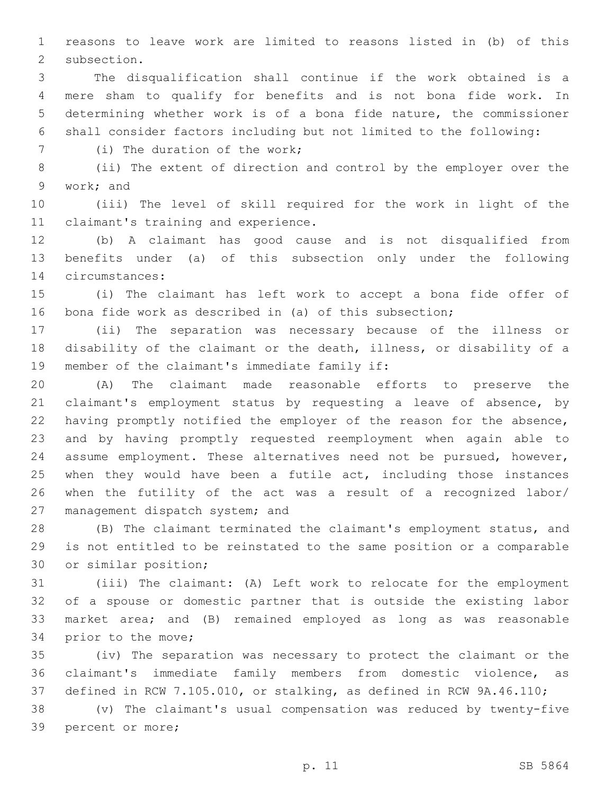reasons to leave work are limited to reasons listed in (b) of this 2 subsection.

 The disqualification shall continue if the work obtained is a mere sham to qualify for benefits and is not bona fide work. In determining whether work is of a bona fide nature, the commissioner shall consider factors including but not limited to the following:

7 (i) The duration of the work;

 (ii) The extent of direction and control by the employer over the 9 work; and

 (iii) The level of skill required for the work in light of the 11 claimant's training and experience.

 (b) A claimant has good cause and is not disqualified from benefits under (a) of this subsection only under the following circumstances:14

 (i) The claimant has left work to accept a bona fide offer of bona fide work as described in (a) of this subsection;

 (ii) The separation was necessary because of the illness or disability of the claimant or the death, illness, or disability of a 19 member of the claimant's immediate family if:

 (A) The claimant made reasonable efforts to preserve the claimant's employment status by requesting a leave of absence, by having promptly notified the employer of the reason for the absence, and by having promptly requested reemployment when again able to assume employment. These alternatives need not be pursued, however, 25 when they would have been a futile act, including those instances when the futility of the act was a result of a recognized labor/ 27 management dispatch system; and

 (B) The claimant terminated the claimant's employment status, and is not entitled to be reinstated to the same position or a comparable 30 or similar position;

 (iii) The claimant: (A) Left work to relocate for the employment of a spouse or domestic partner that is outside the existing labor market area; and (B) remained employed as long as was reasonable 34 prior to the move;

 (iv) The separation was necessary to protect the claimant or the claimant's immediate family members from domestic violence, as defined in RCW 7.105.010, or stalking, as defined in RCW 9A.46.110;

 (v) The claimant's usual compensation was reduced by twenty-five 39 percent or more;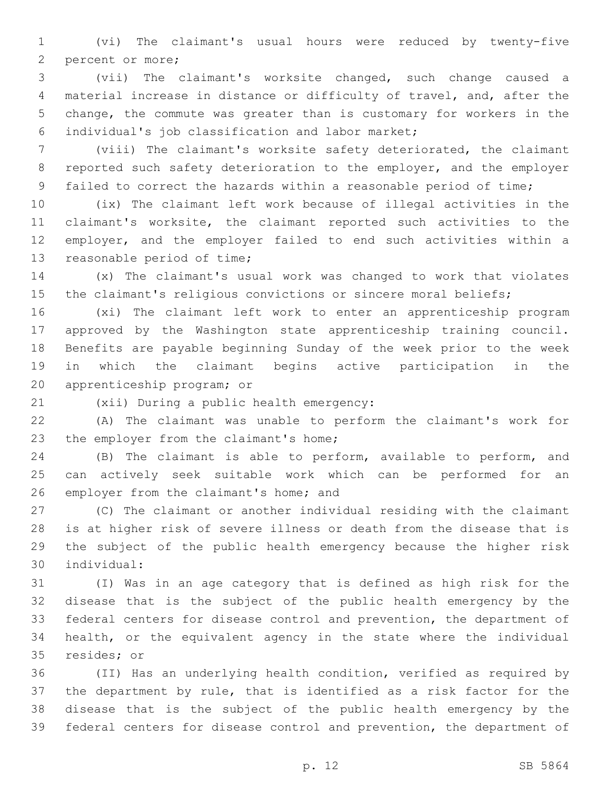(vi) The claimant's usual hours were reduced by twenty-five 2 percent or more;

 (vii) The claimant's worksite changed, such change caused a material increase in distance or difficulty of travel, and, after the change, the commute was greater than is customary for workers in the individual's job classification and labor market;6

 (viii) The claimant's worksite safety deteriorated, the claimant reported such safety deterioration to the employer, and the employer failed to correct the hazards within a reasonable period of time;

 (ix) The claimant left work because of illegal activities in the claimant's worksite, the claimant reported such activities to the employer, and the employer failed to end such activities within a 13 reasonable period of time;

 (x) The claimant's usual work was changed to work that violates the claimant's religious convictions or sincere moral beliefs;

 (xi) The claimant left work to enter an apprenticeship program approved by the Washington state apprenticeship training council. Benefits are payable beginning Sunday of the week prior to the week in which the claimant begins active participation in the 20 apprenticeship program; or

(xii) During a public health emergency:21

 (A) The claimant was unable to perform the claimant's work for 23 the employer from the claimant's home;

 (B) The claimant is able to perform, available to perform, and can actively seek suitable work which can be performed for an 26 employer from the claimant's home; and

 (C) The claimant or another individual residing with the claimant is at higher risk of severe illness or death from the disease that is the subject of the public health emergency because the higher risk individual:30

 (I) Was in an age category that is defined as high risk for the disease that is the subject of the public health emergency by the federal centers for disease control and prevention, the department of health, or the equivalent agency in the state where the individual 35 resides; or

 (II) Has an underlying health condition, verified as required by the department by rule, that is identified as a risk factor for the disease that is the subject of the public health emergency by the federal centers for disease control and prevention, the department of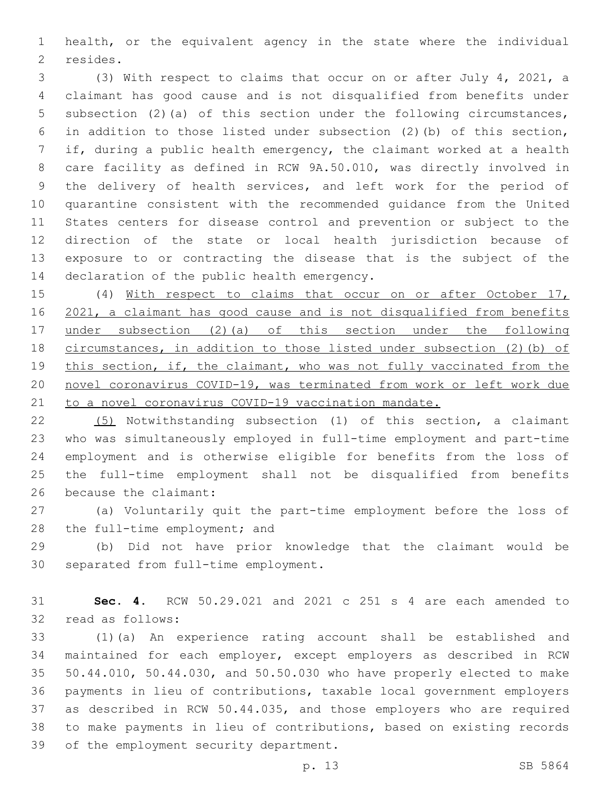health, or the equivalent agency in the state where the individual 2 resides.

 (3) With respect to claims that occur on or after July 4, 2021, a claimant has good cause and is not disqualified from benefits under subsection (2)(a) of this section under the following circumstances, in addition to those listed under subsection (2)(b) of this section, if, during a public health emergency, the claimant worked at a health care facility as defined in RCW 9A.50.010, was directly involved in the delivery of health services, and left work for the period of quarantine consistent with the recommended guidance from the United States centers for disease control and prevention or subject to the direction of the state or local health jurisdiction because of exposure to or contracting the disease that is the subject of the 14 declaration of the public health emergency.

 (4) With respect to claims that occur on or after October 17, 2021, a claimant has good cause and is not disqualified from benefits under subsection (2)(a) of this section under the following circumstances, in addition to those listed under subsection (2)(b) of 19 this section, if, the claimant, who was not fully vaccinated from the novel coronavirus COVID-19, was terminated from work or left work due 21 to a novel coronavirus COVID-19 vaccination mandate.

 (5) Notwithstanding subsection (1) of this section, a claimant who was simultaneously employed in full-time employment and part-time employment and is otherwise eligible for benefits from the loss of the full-time employment shall not be disqualified from benefits 26 because the claimant:

 (a) Voluntarily quit the part-time employment before the loss of 28 the full-time employment; and

 (b) Did not have prior knowledge that the claimant would be 30 separated from full-time employment.

 **Sec. 4.** RCW 50.29.021 and 2021 c 251 s 4 are each amended to 32 read as follows:

 (1)(a) An experience rating account shall be established and maintained for each employer, except employers as described in RCW 50.44.010, 50.44.030, and 50.50.030 who have properly elected to make payments in lieu of contributions, taxable local government employers as described in RCW 50.44.035, and those employers who are required to make payments in lieu of contributions, based on existing records 39 of the employment security department.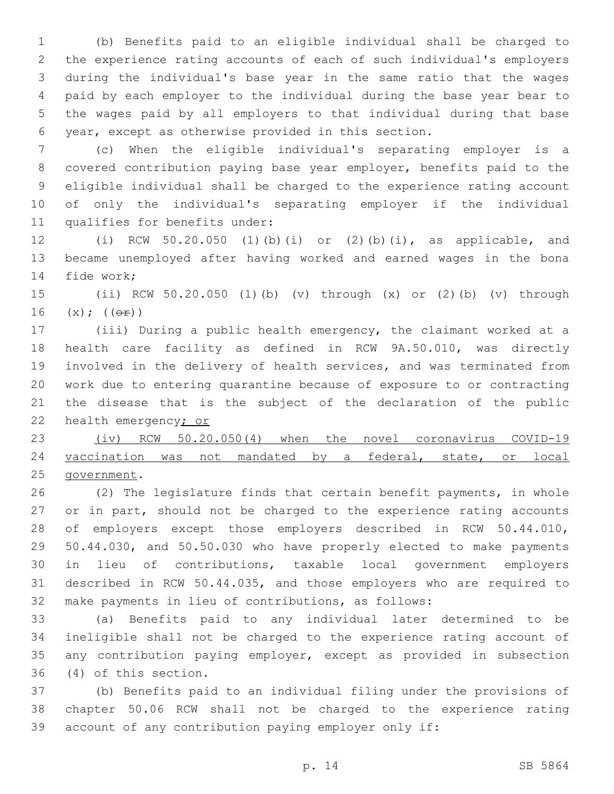(b) Benefits paid to an eligible individual shall be charged to the experience rating accounts of each of such individual's employers during the individual's base year in the same ratio that the wages paid by each employer to the individual during the base year bear to the wages paid by all employers to that individual during that base year, except as otherwise provided in this section.

 (c) When the eligible individual's separating employer is a covered contribution paying base year employer, benefits paid to the eligible individual shall be charged to the experience rating account of only the individual's separating employer if the individual 11 qualifies for benefits under:

 (i) RCW 50.20.050 (1)(b)(i) or (2)(b)(i), as applicable, and became unemployed after having worked and earned wages in the bona 14 fide work;

 (ii) RCW 50.20.050 (1)(b) (v) through (x) or (2)(b) (v) through (x); (( $\Theta$  $\pm$ ))

 (iii) During a public health emergency, the claimant worked at a health care facility as defined in RCW 9A.50.010, was directly involved in the delivery of health services, and was terminated from work due to entering quarantine because of exposure to or contracting the disease that is the subject of the declaration of the public 22 health emergency; or

 (iv) RCW 50.20.050(4) when the novel coronavirus COVID-19 vaccination was not mandated by a federal, state, or local 25 government.

 (2) The legislature finds that certain benefit payments, in whole 27 or in part, should not be charged to the experience rating accounts of employers except those employers described in RCW 50.44.010, 50.44.030, and 50.50.030 who have properly elected to make payments in lieu of contributions, taxable local government employers described in RCW 50.44.035, and those employers who are required to make payments in lieu of contributions, as follows:

 (a) Benefits paid to any individual later determined to be ineligible shall not be charged to the experience rating account of any contribution paying employer, except as provided in subsection (4) of this section.36

 (b) Benefits paid to an individual filing under the provisions of chapter 50.06 RCW shall not be charged to the experience rating account of any contribution paying employer only if: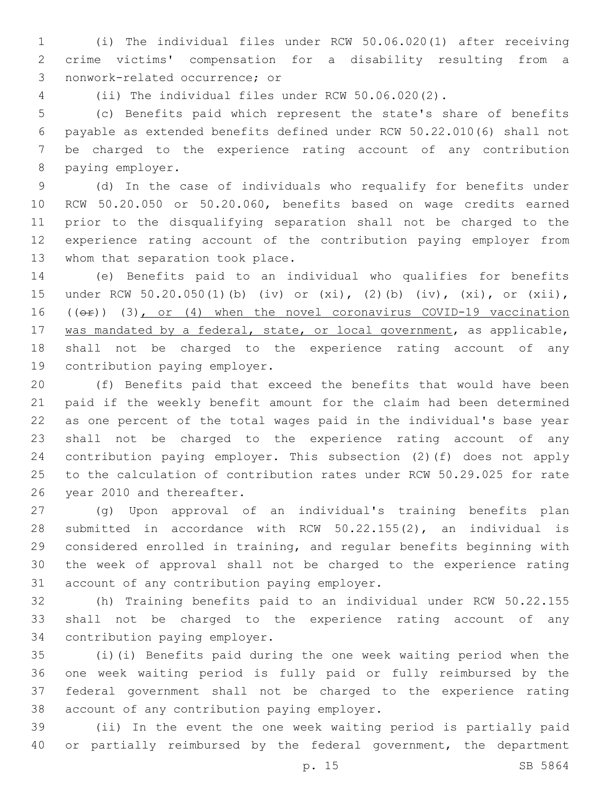(i) The individual files under RCW 50.06.020(1) after receiving crime victims' compensation for a disability resulting from a 3 nonwork-related occurrence; or

(ii) The individual files under RCW 50.06.020(2).

 (c) Benefits paid which represent the state's share of benefits payable as extended benefits defined under RCW 50.22.010(6) shall not be charged to the experience rating account of any contribution 8 paying employer.

 (d) In the case of individuals who requalify for benefits under RCW 50.20.050 or 50.20.060, benefits based on wage credits earned prior to the disqualifying separation shall not be charged to the experience rating account of the contribution paying employer from 13 whom that separation took place.

 (e) Benefits paid to an individual who qualifies for benefits under RCW 50.20.050(1)(b) (iv) or (xi), (2)(b) (iv), (xi), or (xii), 16 ((or)) (3), or (4) when the novel coronavirus COVID-19 vaccination 17 was mandated by a federal, state, or local government, as applicable, shall not be charged to the experience rating account of any 19 contribution paying employer.

 (f) Benefits paid that exceed the benefits that would have been paid if the weekly benefit amount for the claim had been determined as one percent of the total wages paid in the individual's base year shall not be charged to the experience rating account of any contribution paying employer. This subsection (2)(f) does not apply to the calculation of contribution rates under RCW 50.29.025 for rate 26 year 2010 and thereafter.

 (g) Upon approval of an individual's training benefits plan submitted in accordance with RCW 50.22.155(2), an individual is considered enrolled in training, and regular benefits beginning with the week of approval shall not be charged to the experience rating 31 account of any contribution paying employer.

 (h) Training benefits paid to an individual under RCW 50.22.155 shall not be charged to the experience rating account of any 34 contribution paying employer.

 (i)(i) Benefits paid during the one week waiting period when the one week waiting period is fully paid or fully reimbursed by the federal government shall not be charged to the experience rating 38 account of any contribution paying employer.

 (ii) In the event the one week waiting period is partially paid 40 or partially reimbursed by the federal government, the department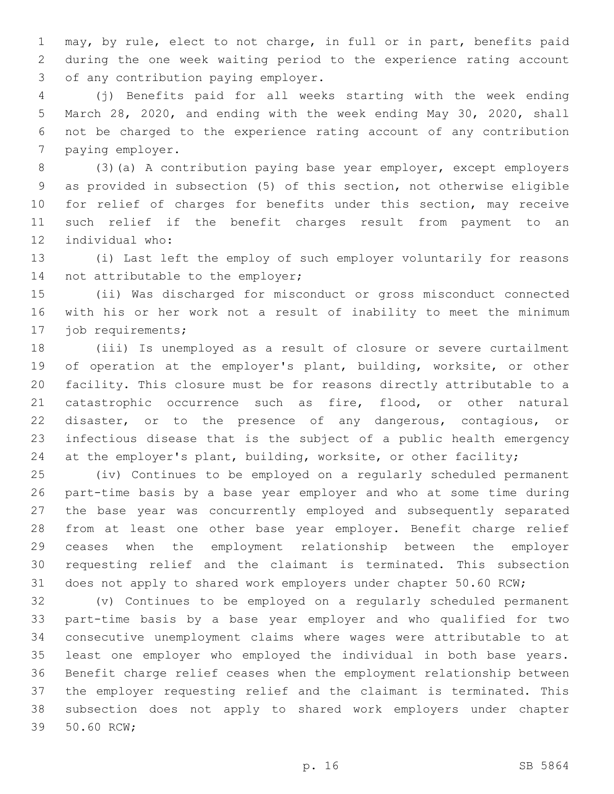may, by rule, elect to not charge, in full or in part, benefits paid during the one week waiting period to the experience rating account 3 of any contribution paying employer.

 (j) Benefits paid for all weeks starting with the week ending March 28, 2020, and ending with the week ending May 30, 2020, shall not be charged to the experience rating account of any contribution 7 paying employer.

 (3)(a) A contribution paying base year employer, except employers as provided in subsection (5) of this section, not otherwise eligible for relief of charges for benefits under this section, may receive such relief if the benefit charges result from payment to an 12 individual who:

 (i) Last left the employ of such employer voluntarily for reasons 14 not attributable to the employer;

 (ii) Was discharged for misconduct or gross misconduct connected with his or her work not a result of inability to meet the minimum 17 job requirements;

 (iii) Is unemployed as a result of closure or severe curtailment of operation at the employer's plant, building, worksite, or other facility. This closure must be for reasons directly attributable to a catastrophic occurrence such as fire, flood, or other natural disaster, or to the presence of any dangerous, contagious, or infectious disease that is the subject of a public health emergency at the employer's plant, building, worksite, or other facility;

 (iv) Continues to be employed on a regularly scheduled permanent part-time basis by a base year employer and who at some time during the base year was concurrently employed and subsequently separated from at least one other base year employer. Benefit charge relief ceases when the employment relationship between the employer requesting relief and the claimant is terminated. This subsection does not apply to shared work employers under chapter 50.60 RCW;

 (v) Continues to be employed on a regularly scheduled permanent part-time basis by a base year employer and who qualified for two consecutive unemployment claims where wages were attributable to at least one employer who employed the individual in both base years. Benefit charge relief ceases when the employment relationship between the employer requesting relief and the claimant is terminated. This subsection does not apply to shared work employers under chapter 39 50.60 RCW;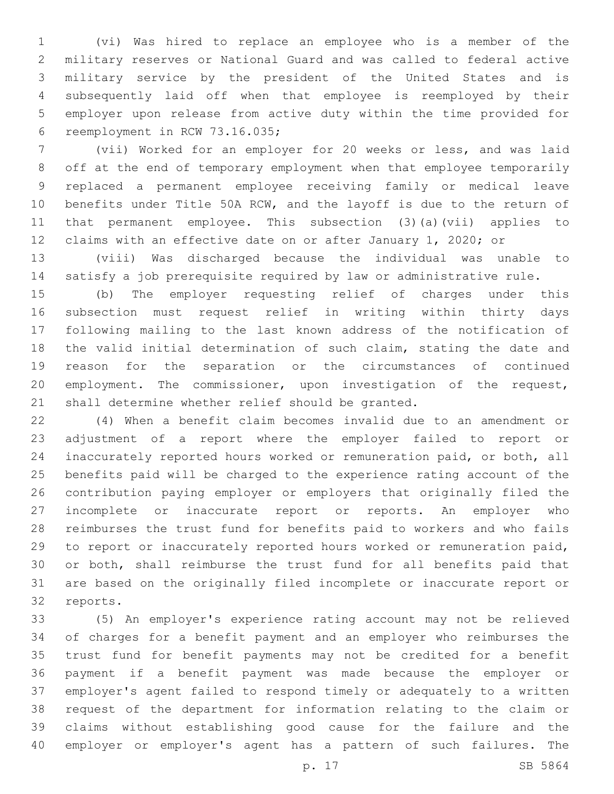(vi) Was hired to replace an employee who is a member of the military reserves or National Guard and was called to federal active military service by the president of the United States and is subsequently laid off when that employee is reemployed by their employer upon release from active duty within the time provided for 6 reemployment in RCW 73.16.035;

 (vii) Worked for an employer for 20 weeks or less, and was laid off at the end of temporary employment when that employee temporarily replaced a permanent employee receiving family or medical leave benefits under Title 50A RCW, and the layoff is due to the return of that permanent employee. This subsection (3)(a)(vii) applies to claims with an effective date on or after January 1, 2020; or

 (viii) Was discharged because the individual was unable to satisfy a job prerequisite required by law or administrative rule.

 (b) The employer requesting relief of charges under this subsection must request relief in writing within thirty days following mailing to the last known address of the notification of the valid initial determination of such claim, stating the date and reason for the separation or the circumstances of continued employment. The commissioner, upon investigation of the request, 21 shall determine whether relief should be granted.

 (4) When a benefit claim becomes invalid due to an amendment or adjustment of a report where the employer failed to report or inaccurately reported hours worked or remuneration paid, or both, all benefits paid will be charged to the experience rating account of the contribution paying employer or employers that originally filed the incomplete or inaccurate report or reports. An employer who reimburses the trust fund for benefits paid to workers and who fails to report or inaccurately reported hours worked or remuneration paid, or both, shall reimburse the trust fund for all benefits paid that are based on the originally filed incomplete or inaccurate report or 32 reports.

 (5) An employer's experience rating account may not be relieved of charges for a benefit payment and an employer who reimburses the trust fund for benefit payments may not be credited for a benefit payment if a benefit payment was made because the employer or employer's agent failed to respond timely or adequately to a written request of the department for information relating to the claim or claims without establishing good cause for the failure and the employer or employer's agent has a pattern of such failures. The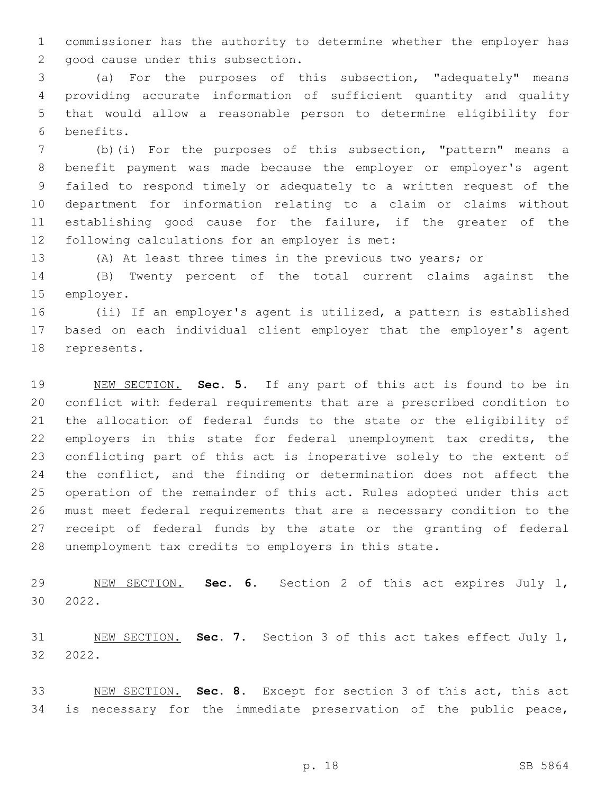commissioner has the authority to determine whether the employer has 2 good cause under this subsection.

 (a) For the purposes of this subsection, "adequately" means providing accurate information of sufficient quantity and quality that would allow a reasonable person to determine eligibility for benefits.6

 (b)(i) For the purposes of this subsection, "pattern" means a benefit payment was made because the employer or employer's agent failed to respond timely or adequately to a written request of the department for information relating to a claim or claims without establishing good cause for the failure, if the greater of the 12 following calculations for an employer is met:

(A) At least three times in the previous two years; or

 (B) Twenty percent of the total current claims against the 15 employer.

 (ii) If an employer's agent is utilized, a pattern is established based on each individual client employer that the employer's agent 18 represents.

 NEW SECTION. **Sec. 5.** If any part of this act is found to be in conflict with federal requirements that are a prescribed condition to the allocation of federal funds to the state or the eligibility of employers in this state for federal unemployment tax credits, the conflicting part of this act is inoperative solely to the extent of 24 the conflict, and the finding or determination does not affect the operation of the remainder of this act. Rules adopted under this act must meet federal requirements that are a necessary condition to the receipt of federal funds by the state or the granting of federal unemployment tax credits to employers in this state.

 NEW SECTION. **Sec. 6.** Section 2 of this act expires July 1, 2022.

 NEW SECTION. **Sec. 7.** Section 3 of this act takes effect July 1, 2022.

 NEW SECTION. **Sec. 8.** Except for section 3 of this act, this act is necessary for the immediate preservation of the public peace,

p. 18 SB 5864